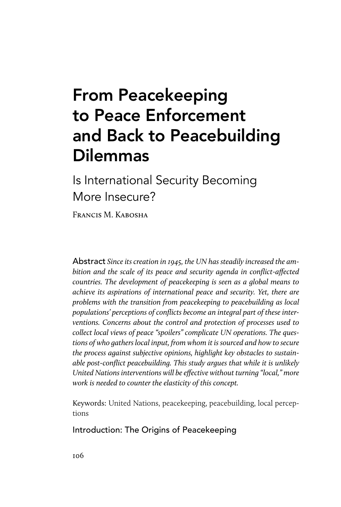# From Peacekeeping to Peace Enforcement and Back to Peacebuilding Dilemmas

Is International Security Becoming More Insecure?

FRANCIS M. KABOSHA

Abstract *Since its creation in 1945, the UN has steadily increased the ambition and the scale of its peace and security agenda in conflict-affected countries. The development of peacekeeping is seen as a global means to achieve its aspirations of international peace and security. Yet, there are problems with the transition from peacekeeping to peacebuilding as local populations' perceptions of conflicts become an integral part of these interventions. Concerns about the control and protection of processes used to collect local views of peace "spoilers" complicate UN operations. The questions of who gathers local input, from whom it is sourced and how to secure the process against subjective opinions, highlight key obstacles to sustainable post-conflict peacebuilding. This study argues that while it is unlikely United Nations interventions will be effective without turning "local," more work is needed to counter the elasticity of this concept.*

Keywords: United Nations, peacekeeping, peacebuilding, local perceptions

Introduction: The Origins of Peacekeeping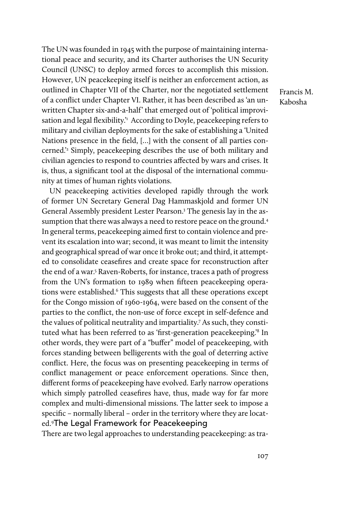The UN was founded in 1945 with the purpose of maintaining international peace and security, and its Charter authorises the UN Security Council (UNSC) to deploy armed forces to accomplish this mission. However, UN peacekeeping itself is neither an enforcement action, as outlined in Chapter VII of the Charter, nor the negotiated settlement of a conflict under Chapter VI. Rather, it has been described as 'an unwritten Chapter six-and-a-half' that emerged out of 'political improvisation and legal flexibility.<sup>21</sup> According to Doyle, peacekeeping refers to military and civilian deployments for the sake of establishing a 'United Nations presence in the field, […] with the consent of all parties concerned.'2 Simply, peacekeeping describes the use of both military and civilian agencies to respond to countries affected by wars and crises. It is, thus, a significant tool at the disposal of the international community at times of human rights violations.

UN peacekeeping activities developed rapidly through the work of former UN Secretary General Dag Hammaskjold and former UN General Assembly president Lester Pearson.3 The genesis lay in the assumption that there was always a need to restore peace on the ground.<sup>4</sup> In general terms, peacekeeping aimed first to contain violence and prevent its escalation into war; second, it was meant to limit the intensity and geographical spread of war once it broke out; and third, it attempted to consolidate ceasefires and create space for reconstruction after the end of a war.5 Raven-Roberts, for instance, traces a path of progress from the UN's formation to 1989 when fifteen peacekeeping operations were established.<sup>6</sup> This suggests that all these operations except for the Congo mission of 1960-1964, were based on the consent of the parties to the conflict, the non-use of force except in self-defence and the values of political neutrality and impartiality.7 As such, they constituted what has been referred to as 'first-generation peacekeeping.'8 In other words, they were part of a "buffer" model of peacekeeping, with forces standing between belligerents with the goal of deterring active conflict. Here, the focus was on presenting peacekeeping in terms of conflict management or peace enforcement operations. Since then, different forms of peacekeeping have evolved. Early narrow operations which simply patrolled ceasefires have, thus, made way for far more complex and multi-dimensional missions. The latter seek to impose a specific – normally liberal – order in the territory where they are located.9 The Legal Framework for Peacekeeping

There are two legal approaches to understanding peacekeeping: as tra-

Francis M. Kabosha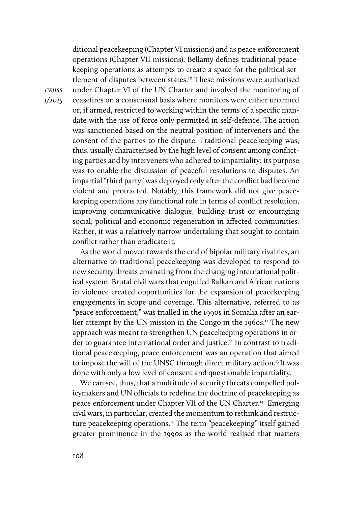ditional peacekeeping (Chapter VI missions) and as peace enforcement operations (Chapter VII missions). Bellamy defines traditional peacekeeping operations as attempts to create a space for the political settlement of disputes between states.<sup>10</sup> These missions were authorised under Chapter VI of the UN Charter and involved the monitoring of ceasefires on a consensual basis where monitors were either unarmed or, if armed, restricted to working within the terms of a specific mandate with the use of force only permitted in self-defence. The action was sanctioned based on the neutral position of interveners and the consent of the parties to the dispute. Traditional peacekeeping was, thus, usually characterised by the high level of consent among conflicting parties and by interveners who adhered to impartiality; its purpose was to enable the discussion of peaceful resolutions to disputes. An impartial "third party" was deployed only after the conflict had become violent and protracted. Notably, this framework did not give peacekeeping operations any functional role in terms of conflict resolution, improving communicative dialogue, building trust or encouraging social, political and economic regeneration in affected communities. Rather, it was a relatively narrow undertaking that sought to contain conflict rather than eradicate it.

As the world moved towards the end of bipolar military rivalries, an alternative to traditional peacekeeping was developed to respond to new security threats emanating from the changing international political system. Brutal civil wars that engulfed Balkan and African nations in violence created opportunities for the expansion of peacekeeping engagements in scope and coverage. This alternative, referred to as "peace enforcement," was trialled in the 1990s in Somalia after an earlier attempt by the UN mission in the Congo in the  $1960s$ .<sup>11</sup> The new approach was meant to strengthen UN peacekeeping operations in order to guarantee international order and justice.<sup>12</sup> In contrast to traditional peacekeeping, peace enforcement was an operation that aimed to impose the will of the UNSC through direct military action.<sup>13</sup> It was done with only a low level of consent and questionable impartiality.

We can see, thus, that a multitude of security threats compelled policymakers and UN officials to redefine the doctrine of peacekeeping as peace enforcement under Chapter VII of the UN Charter.14 Emerging civil wars, in particular, created the momentum to rethink and restructure peacekeeping operations.<sup>15</sup> The term "peacekeeping" itself gained greater prominence in the 1990s as the world realised that matters

*cejiss 1/2015*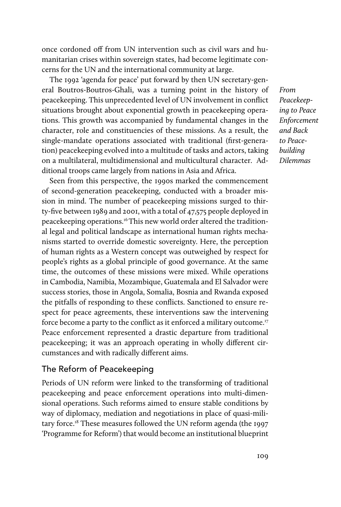once cordoned off from UN intervention such as civil wars and humanitarian crises within sovereign states, had become legitimate concerns for the UN and the international community at large.

The 1992 'agenda for peace' put forward by then UN secretary-general Boutros-Boutros-Ghali, was a turning point in the history of peacekeeping. This unprecedented level of UN involvement in conflict situations brought about exponential growth in peacekeeping operations. This growth was accompanied by fundamental changes in the character, role and constituencies of these missions. As a result, the single-mandate operations associated with traditional (first-generation) peacekeeping evolved into a multitude of tasks and actors, taking on a multilateral, multidimensional and multicultural character. Additional troops came largely from nations in Asia and Africa.

Seen from this perspective, the 1990s marked the commencement of second-generation peacekeeping, conducted with a broader mission in mind. The number of peacekeeping missions surged to thirty-five between 1989 and 2001, with a total of 47,575 people deployed in peacekeeping operations.16 This new world order altered the traditional legal and political landscape as international human rights mechanisms started to override domestic sovereignty. Here, the perception of human rights as a Western concept was outweighed by respect for people's rights as a global principle of good governance. At the same time, the outcomes of these missions were mixed. While operations in Cambodia, Namibia, Mozambique, Guatemala and El Salvador were success stories, those in Angola, Somalia, Bosnia and Rwanda exposed the pitfalls of responding to these conflicts. Sanctioned to ensure respect for peace agreements, these interventions saw the intervening force become a party to the conflict as it enforced a military outcome.<sup>17</sup> Peace enforcement represented a drastic departure from traditional peacekeeping; it was an approach operating in wholly different circumstances and with radically different aims.

### The Reform of Peacekeeping

Periods of UN reform were linked to the transforming of traditional peacekeeping and peace enforcement operations into multi-dimensional operations. Such reforms aimed to ensure stable conditions by way of diplomacy, mediation and negotiations in place of quasi-military force.<sup>18</sup> These measures followed the UN reform agenda (the 1997) 'Programme for Reform') that would become an institutional blueprint *From Peacekeeping to Peace Enforcement and Back to Peacebuilding Dilemmas*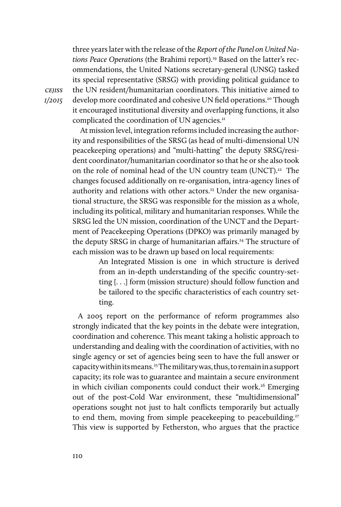three years later with the release of the *Report of the Panel on United Nations Peace Operations* (the Brahimi report).19 Based on the latter's recommendations, the United Nations secretary-general (UNSG) tasked its special representative (SRSG) with providing political guidance to the UN resident/humanitarian coordinators. This initiative aimed to develop more coordinated and cohesive UN field operations.<sup>20</sup> Though it encouraged institutional diversity and overlapping functions, it also complicated the coordination of UN agencies.<sup>21</sup>

At mission level, integration reforms included increasing the authority and responsibilities of the SRSG (as head of multi-dimensional UN peacekeeping operations) and "multi-hatting" the deputy SRSG/resident coordinator/humanitarian coordinator so that he or she also took on the role of nominal head of the UN country team (UNCT).<sup>22</sup> The changes focused additionally on re-organisation, intra-agency lines of authority and relations with other actors.<sup>23</sup> Under the new organisational structure, the SRSG was responsible for the mission as a whole, including its political, military and humanitarian responses. While the SRSG led the UN mission, coordination of the UNCT and the Department of Peacekeeping Operations (DPKO) was primarily managed by the deputy SRSG in charge of humanitarian affairs.<sup>24</sup> The structure of each mission was to be drawn up based on local requirements:

> An Integrated Mission is one in which structure is derived from an in-depth understanding of the specific country-setting [. . .] form (mission structure) should follow function and be tailored to the specific characteristics of each country setting.

A 2005 report on the performance of reform programmes also strongly indicated that the key points in the debate were integration, coordination and coherence*.* This meant taking a holistic approach to understanding and dealing with the coordination of activities, with no single agency or set of agencies being seen to have the full answer or capacity within its means.25The military was, thus, to remain in a support capacity; its role was to guarantee and maintain a secure environment in which civilian components could conduct their work.<sup>26</sup> Emerging out of the post-Cold War environment, these "multidimensional" operations sought not just to halt conflicts temporarily but actually to end them, moving from simple peacekeeping to peacebuilding.<sup>27</sup> This view is supported by Fetherston, who argues that the practice

*cejiss 1/2015*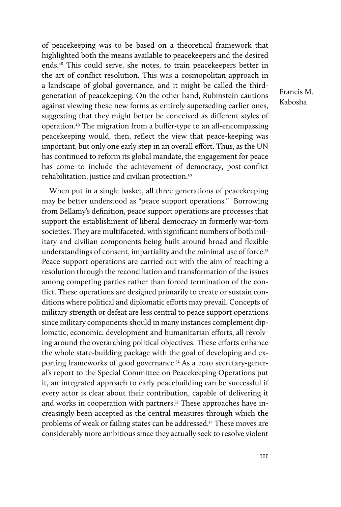of peacekeeping was to be based on a theoretical framework that highlighted both the means available to peacekeepers and the desired ends.28 This could serve, she notes, to train peacekeepers better in the art of conflict resolution. This was a cosmopolitan approach in a landscape of global governance, and it might be called the thirdgeneration of peacekeeping. On the other hand, Rubinstein cautions against viewing these new forms as entirely superseding earlier ones, suggesting that they might better be conceived as different styles of operation.29 The migration from a buffer-type to an all-encompassing peacekeeping would, then, reflect the view that peace-keeping was important, but only one early step in an overall effort. Thus, as the UN has continued to reform its global mandate, the engagement for peace has come to include the achievement of democracy, post-conflict rehabilitation, justice and civilian protection.30

When put in a single basket, all three generations of peacekeeping may be better understood as "peace support operations." Borrowing from Bellamy's definition, peace support operations are processes that support the establishment of liberal democracy in formerly war-torn societies. They are multifaceted, with significant numbers of both military and civilian components being built around broad and flexible understandings of consent, impartiality and the minimal use of force.<sup>31</sup> Peace support operations are carried out with the aim of reaching a resolution through the reconciliation and transformation of the issues among competing parties rather than forced termination of the conflict. These operations are designed primarily to create or sustain conditions where political and diplomatic efforts may prevail. Concepts of military strength or defeat are less central to peace support operations since military components should in many instances complement diplomatic, economic, development and humanitarian efforts, all revolving around the overarching political objectives. These efforts enhance the whole state-building package with the goal of developing and exporting frameworks of good governance.<sup>32</sup> As a 2010 secretary-general's report to the Special Committee on Peacekeeping Operations put it, an integrated approach to early peacebuilding can be successful if every actor is clear about their contribution, capable of delivering it and works in cooperation with partners.<sup>33</sup> These approaches have increasingly been accepted as the central measures through which the problems of weak or failing states can be addressed.34 These moves are considerably more ambitious since they actually seek to resolve violent Francis M. Kabosha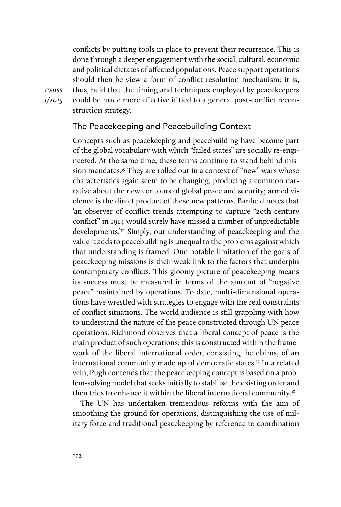conflicts by putting tools in place to prevent their recurrence. This is done through a deeper engagement with the social, cultural, economic and political dictates of affected populations. Peace support operations should then be view a form of conflict resolution mechanism; it is, thus, held that the timing and techniques employed by peacekeepers could be made more effective if tied to a general post-conflict reconstruction strategy.

*cejiss 1/2015*

## The Peacekeeping and Peacebuilding Context

Concepts such as peacekeeping and peacebuilding have become part of the global vocabulary with which "failed states" are socially re-engineered. At the same time, these terms continue to stand behind mission mandates.<sup>35</sup> They are rolled out in a context of "new" wars whose characteristics again seem to be changing, producing a common narrative about the new contours of global peace and security; armed violence is the direct product of these new patterns. Banfield notes that 'an observer of conflict trends attempting to capture "20th century conflict" in 1914 would surely have missed a number of unpredictable developments.'36 Simply, our understanding of peacekeeping and the value it adds to peacebuilding is unequal to the problems against which that understanding is framed. One notable limitation of the goals of peacekeeping missions is their weak link to the factors that underpin contemporary conflicts. This gloomy picture of peacekeeping means its success must be measured in terms of the amount of "negative peace" maintained by operations. To date, multi-dimensional operations have wrestled with strategies to engage with the real constraints of conflict situations. The world audience is still grappling with how to understand the nature of the peace constructed through UN peace operations. Richmond observes that a liberal concept of peace is the main product of such operations; this is constructed within the framework of the liberal international order, consisting, he claims, of an international community made up of democratic states.<sup>37</sup> In a related vein, Pugh contends that the peacekeeping concept is based on a problem-solving model that seeks initially to stabilise the existing order and then tries to enhance it within the liberal international community.<sup>38</sup>

The UN has undertaken tremendous reforms with the aim of smoothing the ground for operations, distinguishing the use of military force and traditional peacekeeping by reference to coordination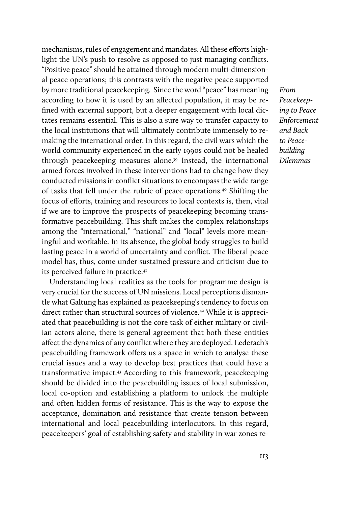mechanisms, rules of engagement and mandates. All these efforts highlight the UN's push to resolve as opposed to just managing conflicts. "Positive peace" should be attained through modern multi-dimensional peace operations; this contrasts with the negative peace supported by more traditional peacekeeping. Since the word "peace" has meaning according to how it is used by an affected population, it may be refined with external support, but a deeper engagement with local dictates remains essential. This is also a sure way to transfer capacity to the local institutions that will ultimately contribute immensely to remaking the international order. In this regard, the civil wars which the world community experienced in the early 1990s could not be healed through peacekeeping measures alone.<sup>39</sup> Instead, the international armed forces involved in these interventions had to change how they conducted missions in conflict situations to encompass the wide range of tasks that fell under the rubric of peace operations.40 Shifting the focus of efforts, training and resources to local contexts is, then, vital if we are to improve the prospects of peacekeeping becoming transformative peacebuilding. This shift makes the complex relationships among the "international," "national" and "local" levels more meaningful and workable. In its absence, the global body struggles to build lasting peace in a world of uncertainty and conflict. The liberal peace model has, thus, come under sustained pressure and criticism due to its perceived failure in practice.<sup>41</sup>

Understanding local realities as the tools for programme design is very crucial for the success of UN missions. Local perceptions dismantle what Galtung has explained as peacekeeping's tendency to focus on direct rather than structural sources of violence.<sup>42</sup> While it is appreciated that peacebuilding is not the core task of either military or civilian actors alone, there is general agreement that both these entities affect the dynamics of any conflict where they are deployed. Lederach's peacebuilding framework offers us a space in which to analyse these crucial issues and a way to develop best practices that could have a transformative impact.43 According to this framework, peacekeeping should be divided into the peacebuilding issues of local submission, local co-option and establishing a platform to unlock the multiple and often hidden forms of resistance. This is the way to expose the acceptance, domination and resistance that create tension between international and local peacebuilding interlocutors. In this regard, peacekeepers' goal of establishing safety and stability in war zones re*From Peacekeeping to Peace Enforcement and Back to Peacebuilding Dilemmas*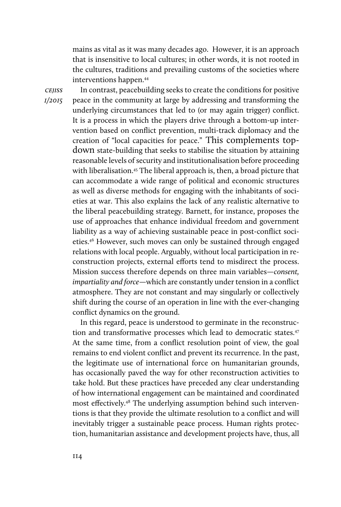mains as vital as it was many decades ago. However, it is an approach that is insensitive to local cultures; in other words, it is not rooted in the cultures, traditions and prevailing customs of the societies where interventions happen.44

*cejiss 1/2015*

In contrast, peacebuilding seeks to create the conditions for positive peace in the community at large by addressing and transforming the underlying circumstances that led to (or may again trigger) conflict. It is a process in which the players drive through a bottom-up intervention based on conflict prevention, multi-track diplomacy and the creation of "local capacities for peace." This complements topdown state-building that seeks to stabilise the situation by attaining reasonable levels of security and institutionalisation before proceeding with liberalisation.<sup>45</sup> The liberal approach is, then, a broad picture that can accommodate a wide range of political and economic structures as well as diverse methods for engaging with the inhabitants of societies at war. This also explains the lack of any realistic alternative to the liberal peacebuilding strategy. Barnett, for instance, proposes the use of approaches that enhance individual freedom and government liability as a way of achieving sustainable peace in post-conflict societies.46 However, such moves can only be sustained through engaged relations with local people. Arguably, without local participation in reconstruction projects, external efforts tend to misdirect the process. Mission success therefore depends on three main variables—*consent, impartiality and force*—which are constantly under tension in a conflict atmosphere. They are not constant and may singularly or collectively shift during the course of an operation in line with the ever-changing conflict dynamics on the ground.

In this regard, peace is understood to germinate in the reconstruction and transformative processes which lead to democratic states.<sup>47</sup> At the same time, from a conflict resolution point of view, the goal remains to end violent conflict and prevent its recurrence. In the past, the legitimate use of international force on humanitarian grounds, has occasionally paved the way for other reconstruction activities to take hold. But these practices have preceded any clear understanding of how international engagement can be maintained and coordinated most effectively.48 The underlying assumption behind such interventions is that they provide the ultimate resolution to a conflict and will inevitably trigger a sustainable peace process. Human rights protection, humanitarian assistance and development projects have, thus, all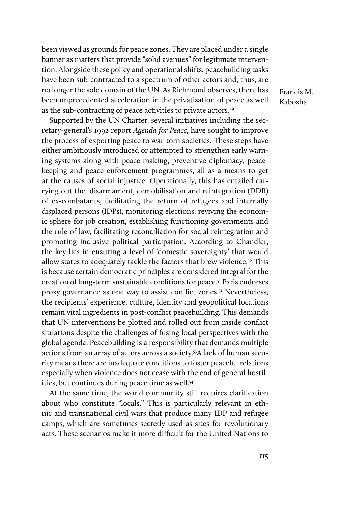been viewed as grounds for peace zones. They are placed under a single banner as matters that provide "solid avenues" for legitimate intervention. Alongside these policy and operational shifts, peacebuilding tasks have been sub-contracted to a spectrum of other actors and, thus, are no longer the sole domain of the UN. As Richmond observes, there has been unprecedented acceleration in the privatisation of peace as well as the sub-contracting of peace activities to private actors.49

Supported by the UN Charter, several initiatives including the secretary-general's 1992 report *Agenda for Peace,* have sought to improve the process of exporting peace to war-torn societies. These steps have either ambitiously introduced or attempted to strengthen early warning systems along with peace-making, preventive diplomacy, peacekeeping and peace enforcement programmes, all as a means to get at the causes of social injustice. Operationally, this has entailed carrying out the disarmament, demobilisation and reintegration (DDR) of ex-combatants, facilitating the return of refugees and internally displaced persons (IDPs), monitoring elections, reviving the economic sphere for job creation, establishing functioning governments and the rule of law, facilitating reconciliation for social reintegration and promoting inclusive political participation. According to Chandler, the key lies in ensuring a level of 'domestic sovereignty' that would allow states to adequately tackle the factors that brew violence.<sup>50</sup> This is because certain democratic principles are considered integral for the creation of long-term sustainable conditions for peace.<sup>51</sup> Paris endorses proxy governance as one way to assist conflict zones.52 Nevertheless, the recipients' experience, culture, identity and geopolitical locations remain vital ingredients in post-conflict peacebuilding. This demands that UN interventions be plotted and rolled out from inside conflict situations despite the challenges of fusing local perspectives with the global agenda. Peacebuilding is a responsibility that demands multiple actions from an array of actors across a society.53A lack of human security means there are inadequate conditions to foster peaceful relations especially when violence does not cease with the end of general hostilities, but continues during peace time as well.54

At the same time, the world community still requires clarification about who constitute "locals." This is particularly relevant in ethnic and transnational civil wars that produce many IDP and refugee camps, which are sometimes secretly used as sites for revolutionary acts. These scenarios make it more difficult for the United Nations to Francis M. Kabosha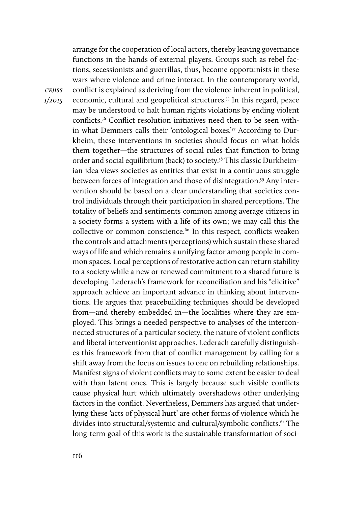arrange for the cooperation of local actors, thereby leaving governance functions in the hands of external players. Groups such as rebel factions, secessionists and guerrillas, thus, become opportunists in these wars where violence and crime interact. In the contemporary world, conflict is explained as deriving from the violence inherent in political, economic, cultural and geopolitical structures.55 In this regard, peace may be understood to halt human rights violations by ending violent conflicts.56 Conflict resolution initiatives need then to be seen within what Demmers calls their 'ontological boxes.'57 According to Durkheim, these interventions in societies should focus on what holds them together—the structures of social rules that function to bring order and social equilibrium (back) to society.<sup>58</sup> This classic Durkheimian idea views societies as entities that exist in a continuous struggle between forces of integration and those of disintegration.59 Any intervention should be based on a clear understanding that societies control individuals through their participation in shared perceptions. The totality of beliefs and sentiments common among average citizens in a society forms a system with a life of its own; we may call this the collective or common conscience.<sup>60</sup> In this respect, conflicts weaken the controls and attachments (perceptions) which sustain these shared ways of life and which remains a unifying factor among people in common spaces. Local perceptions of restorative action can return stability to a society while a new or renewed commitment to a shared future is developing. Lederach's framework for reconciliation and his "elicitive" approach achieve an important advance in thinking about interventions. He argues that peacebuilding techniques should be developed from—and thereby embedded in—the localities where they are employed. This brings a needed perspective to analyses of the interconnected structures of a particular society, the nature of violent conflicts and liberal interventionist approaches. Lederach carefully distinguishes this framework from that of conflict management by calling for a shift away from the focus on issues to one on rebuilding relationships. Manifest signs of violent conflicts may to some extent be easier to deal with than latent ones. This is largely because such visible conflicts cause physical hurt which ultimately overshadows other underlying factors in the conflict. Nevertheless, Demmers has argued that underlying these 'acts of physical hurt' are other forms of violence which he divides into structural/systemic and cultural/symbolic conflicts.<sup>61</sup> The long-term goal of this work is the sustainable transformation of soci-

*cejiss 1/2015*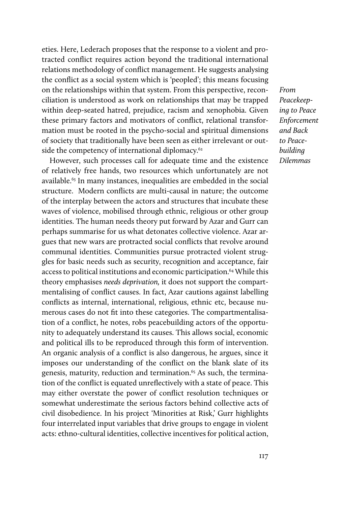eties. Here, Lederach proposes that the response to a violent and protracted conflict requires action beyond the traditional international relations methodology of conflict management. He suggests analysing the conflict as a social system which is 'peopled'; this means focusing on the relationships within that system. From this perspective, reconciliation is understood as work on relationships that may be trapped within deep-seated hatred, prejudice, racism and xenophobia. Given these primary factors and motivators of conflict, relational transformation must be rooted in the psycho-social and spiritual dimensions of society that traditionally have been seen as either irrelevant or outside the competency of international diplomacy.<sup>62</sup>

However, such processes call for adequate time and the existence of relatively free hands, two resources which unfortunately are not available.<sup>63</sup> In many instances, inequalities are embedded in the social structure. Modern conflicts are multi-causal in nature; the outcome of the interplay between the actors and structures that incubate these waves of violence, mobilised through ethnic, religious or other group identities. The human needs theory put forward by Azar and Gurr can perhaps summarise for us what detonates collective violence. Azar argues that new wars are protracted social conflicts that revolve around communal identities. Communities pursue protracted violent struggles for basic needs such as security, recognition and acceptance, fair access to political institutions and economic participation.<sup>64</sup> While this theory emphasises *needs deprivation,* it does not support the compartmentalising of conflict causes. In fact, Azar cautions against labelling conflicts as internal, international, religious, ethnic etc, because numerous cases do not fit into these categories. The compartmentalisation of a conflict, he notes, robs peacebuilding actors of the opportunity to adequately understand its causes. This allows social, economic and political ills to be reproduced through this form of intervention. An organic analysis of a conflict is also dangerous, he argues, since it imposes our understanding of the conflict on the blank slate of its genesis, maturity, reduction and termination.<sup>65</sup> As such, the termination of the conflict is equated unreflectively with a state of peace. This may either overstate the power of conflict resolution techniques or somewhat underestimate the serious factors behind collective acts of civil disobedience. In his project 'Minorities at Risk,' Gurr highlights four interrelated input variables that drive groups to engage in violent acts: ethno-cultural identities, collective incentives for political action,

*From Peacekeeping to Peace Enforcement and Back to Peacebuilding Dilemmas*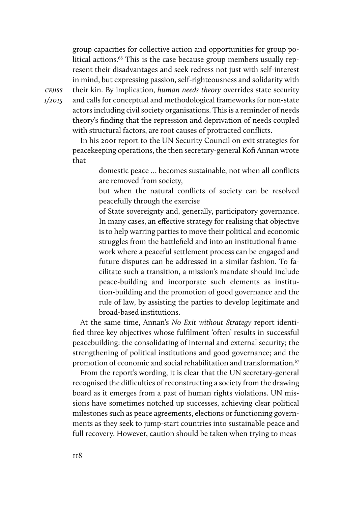group capacities for collective action and opportunities for group political actions.<sup>66</sup> This is the case because group members usually represent their disadvantages and seek redress not just with self-interest in mind, but expressing passion, self-righteousness and solidarity with

*cejiss 1/2015* their kin. By implication, *human needs theory* overrides state security and calls for conceptual and methodological frameworks for non-state actors including civil society organisations. This is a reminder of needs theory's finding that the repression and deprivation of needs coupled with structural factors, are root causes of protracted conflicts.

In his 2001 report to the UN Security Council on exit strategies for peacekeeping operations, the then secretary-general Kofi Annan wrote that

> domestic peace … becomes sustainable, not when all conflicts are removed from society,

> but when the natural conflicts of society can be resolved peacefully through the exercise

> of State sovereignty and, generally, participatory governance. In many cases, an effective strategy for realising that objective is to help warring parties to move their political and economic struggles from the battlefield and into an institutional framework where a peaceful settlement process can be engaged and future disputes can be addressed in a similar fashion. To facilitate such a transition, a mission's mandate should include peace-building and incorporate such elements as institution-building and the promotion of good governance and the rule of law, by assisting the parties to develop legitimate and broad-based institutions.

At the same time, Annan's *No Exit without Strategy* report identified three key objectives whose fulfilment 'often' results in successful peacebuilding: the consolidating of internal and external security; the strengthening of political institutions and good governance; and the promotion of economic and social rehabilitation and transformation*.* 67

From the report's wording, it is clear that the UN secretary-general recognised the difficulties of reconstructing a society from the drawing board as it emerges from a past of human rights violations. UN missions have sometimes notched up successes, achieving clear political milestones such as peace agreements, elections or functioning governments as they seek to jump-start countries into sustainable peace and full recovery. However, caution should be taken when trying to meas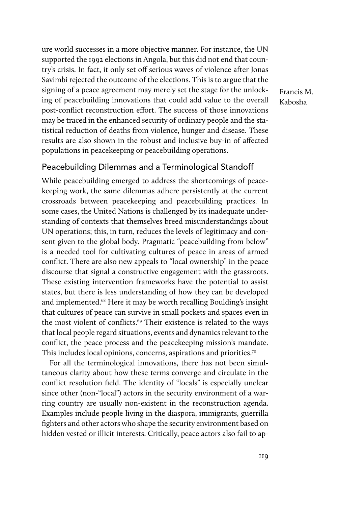ure world successes in a more objective manner. For instance, the UN supported the 1992 elections in Angola, but this did not end that country's crisis. In fact, it only set off serious waves of violence after Jonas Savimbi rejected the outcome of the elections. This is to argue that the signing of a peace agreement may merely set the stage for the unlocking of peacebuilding innovations that could add value to the overall post-conflict reconstruction effort. The success of those innovations may be traced in the enhanced security of ordinary people and the statistical reduction of deaths from violence, hunger and disease. These results are also shown in the robust and inclusive buy-in of affected populations in peacekeeping or peacebuilding operations.

Francis M. Kabosha

#### Peacebuilding Dilemmas and a Terminological Standoff

While peacebuilding emerged to address the shortcomings of peacekeeping work, the same dilemmas adhere persistently at the current crossroads between peacekeeping and peacebuilding practices. In some cases, the United Nations is challenged by its inadequate understanding of contexts that themselves breed misunderstandings about UN operations; this, in turn, reduces the levels of legitimacy and consent given to the global body. Pragmatic "peacebuilding from below" is a needed tool for cultivating cultures of peace in areas of armed conflict. There are also new appeals to "local ownership" in the peace discourse that signal a constructive engagement with the grassroots. These existing intervention frameworks have the potential to assist states, but there is less understanding of how they can be developed and implemented.68 Here it may be worth recalling Boulding's insight that cultures of peace can survive in small pockets and spaces even in the most violent of conflicts.<sup>69</sup> Their existence is related to the ways that local people regard situations, events and dynamics relevant to the conflict, the peace process and the peacekeeping mission's mandate. This includes local opinions, concerns, aspirations and priorities.<sup>70</sup>

For all the terminological innovations, there has not been simultaneous clarity about how these terms converge and circulate in the conflict resolution field. The identity of "locals" is especially unclear since other (non-"local") actors in the security environment of a warring country are usually non-existent in the reconstruction agenda. Examples include people living in the diaspora, immigrants, guerrilla fighters and other actors who shape the security environment based on hidden vested or illicit interests. Critically, peace actors also fail to ap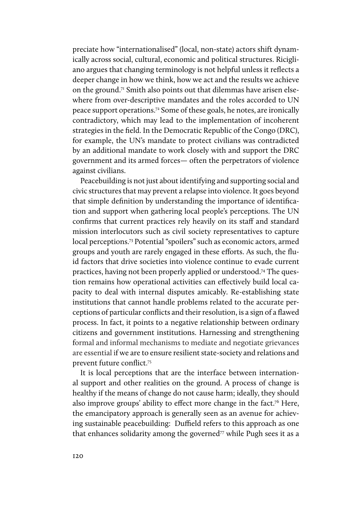preciate how "internationalised" (local, non-state) actors shift dynamically across social, cultural, economic and political structures. Ricigliano argues that changing terminology is not helpful unless it reflects a deeper change in how we think, how we act and the results we achieve on the ground.<sup>71</sup> Smith also points out that dilemmas have arisen elsewhere from over-descriptive mandates and the roles accorded to UN peace support operations.72 Some of these goals, he notes, are ironically contradictory, which may lead to the implementation of incoherent strategies in the field. In the Democratic Republic of the Congo (DRC), for example, the UN's mandate to protect civilians was contradicted by an additional mandate to work closely with and support the DRC government and its armed forces— often the perpetrators of violence against civilians.

Peacebuilding is not just about identifying and supporting social and civic structures that may prevent a relapse into violence. It goes beyond that simple definition by understanding the importance of identification and support when gathering local people's perceptions. The UN confirms that current practices rely heavily on its staff and standard mission interlocutors such as civil society representatives to capture local perceptions.73 Potential "spoilers" such as economic actors, armed groups and youth are rarely engaged in these efforts. As such, the fluid factors that drive societies into violence continue to evade current practices, having not been properly applied or understood.74 The question remains how operational activities can effectively build local capacity to deal with internal disputes amicably. Re-establishing state institutions that cannot handle problems related to the accurate perceptions of particular conflicts and their resolution, is a sign of a flawed process. In fact, it points to a negative relationship between ordinary citizens and government institutions. Harnessing and strengthening formal and informal mechanisms to mediate and negotiate grievances are essential if we are to ensure resilient state-society and relations and prevent future conflict. 75

It is local perceptions that are the interface between international support and other realities on the ground. A process of change is healthy if the means of change do not cause harm; ideally, they should also improve groups' ability to effect more change in the fact.<sup>76</sup> Here, the emancipatory approach is generally seen as an avenue for achieving sustainable peacebuilding: Duffield refers to this approach as one that enhances solidarity among the governed $77$  while Pugh sees it as a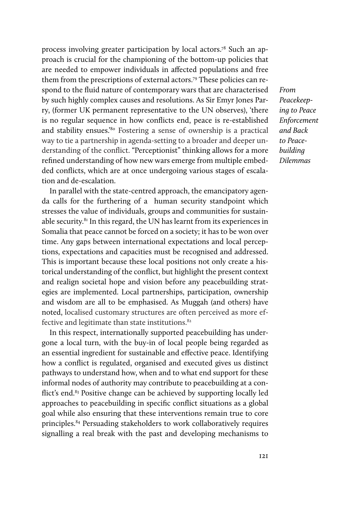process involving greater participation by local actors.78 Such an approach is crucial for the championing of the bottom-up policies that are needed to empower individuals in affected populations and free them from the prescriptions of external actors.79 These policies can respond to the fluid nature of contemporary wars that are characterised by such highly complex causes and resolutions. As Sir Emyr Jones Parry, (former UK permanent representative to the UN observes), 'there is no regular sequence in how conflicts end, peace is re-established and stability ensues.'80 Fostering a sense of ownership is a practical way to tie a partnership in agenda-setting to a broader and deeper understanding of the conflict. "Perceptionist" thinking allows for a more refined understanding of how new wars emerge from multiple embedded conflicts, which are at once undergoing various stages of escalation and de-escalation.

*From Peacekeeping to Peace Enforcement and Back to Peacebuilding Dilemmas*

In parallel with the state-centred approach, the emancipatory agenda calls for the furthering of a human security standpoint which stresses the value of individuals, groups and communities for sustainable security.81 In this regard, the UN has learnt from its experiences in Somalia that peace cannot be forced on a society; it has to be won over time. Any gaps between international expectations and local perceptions, expectations and capacities must be recognised and addressed. This is important because these local positions not only create a historical understanding of the conflict, but highlight the present context and realign societal hope and vision before any peacebuilding strategies are implemented. Local partnerships, participation, ownership and wisdom are all to be emphasised. As Muggah (and others) have noted, localised customary structures are often perceived as more effective and legitimate than state institutions.<sup>82</sup>

In this respect, internationally supported peacebuilding has undergone a local turn, with the buy-in of local people being regarded as an essential ingredient for sustainable and effective peace. Identifying how a conflict is regulated, organised and executed gives us distinct pathways to understand how, when and to what end support for these informal nodes of authority may contribute to peacebuilding at a conflict's end.<sup>83</sup> Positive change can be achieved by supporting locally led approaches to peacebuilding in specific conflict situations as a global goal while also ensuring that these interventions remain true to core principles.84 Persuading stakeholders to work collaboratively requires signalling a real break with the past and developing mechanisms to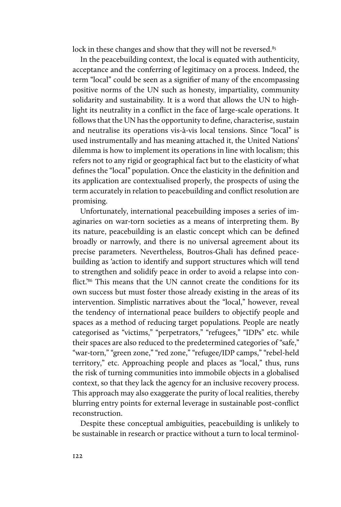lock in these changes and show that they will not be reversed.<sup>85</sup>

In the peacebuilding context, the local is equated with authenticity, acceptance and the conferring of legitimacy on a process. Indeed, the term "local" could be seen as a signifier of many of the encompassing positive norms of the UN such as honesty, impartiality, community solidarity and sustainability. It is a word that allows the UN to highlight its neutrality in a conflict in the face of large-scale operations. It follows that the UN has the opportunity to define, characterise, sustain and neutralise its operations vis-à-vis local tensions. Since "local" is used instrumentally and has meaning attached it, the United Nations' dilemma is how to implement its operations in line with localism; this refers not to any rigid or geographical fact but to the elasticity of what defines the "local" population. Once the elasticity in the definition and its application are contextualised properly, the prospects of using the term accurately in relation to peacebuilding and conflict resolution are promising.

Unfortunately, international peacebuilding imposes a series of imaginaries on war-torn societies as a means of interpreting them. By its nature, peacebuilding is an elastic concept which can be defined broadly or narrowly, and there is no universal agreement about its precise parameters. Nevertheless, Boutros-Ghali has defined peacebuilding as 'action to identify and support structures which will tend to strengthen and solidify peace in order to avoid a relapse into conflict.<sup>'86</sup> This means that the UN cannot create the conditions for its own success but must foster those already existing in the areas of its intervention. Simplistic narratives about the "local," however, reveal the tendency of international peace builders to objectify people and spaces as a method of reducing target populations. People are neatly categorised as "victims," "perpetrators," "refugees," "IDPs" etc. while their spaces are also reduced to the predetermined categories of "safe," "war-torn," "green zone," "red zone," "refugee/IDP camps," "rebel-held territory," etc. Approaching people and places as "local," thus, runs the risk of turning communities into immobile objects in a globalised context, so that they lack the agency for an inclusive recovery process. This approach may also exaggerate the purity of local realities, thereby blurring entry points for external leverage in sustainable post-conflict reconstruction.

Despite these conceptual ambiguities, peacebuilding is unlikely to be sustainable in research or practice without a turn to local terminol-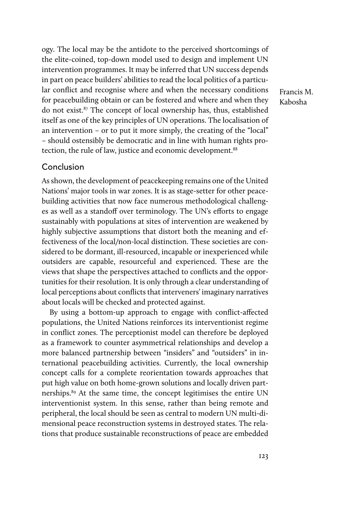ogy. The local may be the antidote to the perceived shortcomings of the elite-coined, top-down model used to design and implement UN intervention programmes. It may be inferred that UN success depends in part on peace builders' abilities to read the local politics of a particular conflict and recognise where and when the necessary conditions for peacebuilding obtain or can be fostered and where and when they do not exist.87 The concept of local ownership has, thus, established itself as one of the key principles of UN operations. The localisation of an intervention – or to put it more simply, the creating of the "local" – should ostensibly be democratic and in line with human rights protection, the rule of law, justice and economic development.<sup>88</sup>

Francis M. Kabosha

## Conclusion

As shown, the development of peacekeeping remains one of the United Nations' major tools in war zones. It is as stage-setter for other peacebuilding activities that now face numerous methodological challenges as well as a standoff over terminology. The UN's efforts to engage sustainably with populations at sites of intervention are weakened by highly subjective assumptions that distort both the meaning and effectiveness of the local/non-local distinction. These societies are considered to be dormant, ill-resourced, incapable or inexperienced while outsiders are capable, resourceful and experienced. These are the views that shape the perspectives attached to conflicts and the opportunities for their resolution. It is only through a clear understanding of local perceptions about conflicts that interveners' imaginary narratives about locals will be checked and protected against.

By using a bottom-up approach to engage with conflict-affected populations, the United Nations reinforces its interventionist regime in conflict zones. The perceptionist model can therefore be deployed as a framework to counter asymmetrical relationships and develop a more balanced partnership between "insiders" and "outsiders" in international peacebuilding activities. Currently, the local ownership concept calls for a complete reorientation towards approaches that put high value on both home-grown solutions and locally driven partnerships.89 At the same time, the concept legitimises the entire UN interventionist system. In this sense, rather than being remote and peripheral, the local should be seen as central to modern UN multi-dimensional peace reconstruction systems in destroyed states. The relations that produce sustainable reconstructions of peace are embedded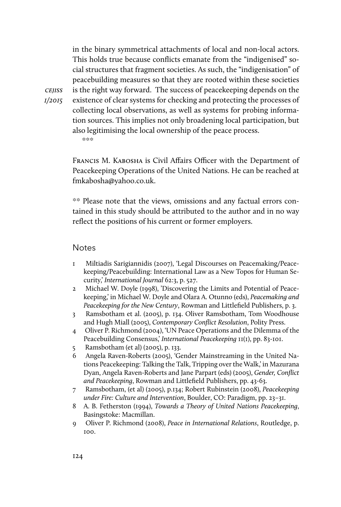in the binary symmetrical attachments of local and non-local actors. This holds true because conflicts emanate from the "indigenised" social structures that fragment societies. As such, the "indigenisation" of peacebuilding measures so that they are rooted within these societies is the right way forward. The success of peacekeeping depends on the existence of clear systems for checking and protecting the processes of collecting local observations, as well as systems for probing information sources. This implies not only broadening local participation, but also legitimising the local ownership of the peace process. \*\*\*

Francis M. Kabosha is Civil Affairs Officer with the Department of Peacekeeping Operations of the United Nations. He can be reached at fmkabosha@yahoo.co.uk.

\*\* Please note that the views, omissions and any factual errors contained in this study should be attributed to the author and in no way reflect the positions of his current or former employers.

#### **Notes**

- 1 Miltiadis Sarigiannidis (2007), 'Legal Discourses on Peacemaking/Peacekeeping/Peacebuilding: International Law as a New Topos for Human Security,' *International Journal* 62:3, p. 527.
- 2 Michael W. Doyle (1998), 'Discovering the Limits and Potential of Peacekeeping,' in Michael W. Doyle and Olara A. Otunno (eds), *Peacemaking and Peacekeeping for the New Century*, Rowman and Littlefield Publishers, p. 3.
- 3 Ramsbotham et al. (2005), p. 134. Oliver Ramsbotham, Tom Woodhouse and Hugh Miall (2005), *Contemporary Conflict Resolution*, Polity Press.
- 4 Oliver P. Richmond (2004), 'UN Peace Operations and the Dilemma of the Peacebuilding Consensus,' *International Peacekeeping* 11(1), pp. 83-101.
- 5 Ramsbotham (et al) (2005), p. 133.
- 6 Angela Raven-Roberts (2005), 'Gender Mainstreaming in the United Nations Peacekeeping: Talking the Talk, Tripping over the Walk,' in Mazurana Dyan, Angela Raven-Roberts and Jane Parpart (eds) (2005), *Gender, Conflict and Peacekeeping*, Rowman and Littlefield Publishers, pp. 43-63.
- 7 Ramsbotham, (et al) (2005), p.134; Robert Rubinstein (2008), *Peacekeeping under Fire: Culture and Intervention*, Boulder, CO: Paradigm, pp. 23–31.
- 8 A. B. Fetherston (1994), *Towards a Theory of United Nations Peacekeeping*, Basingstoke: Macmillan.
- 9 Oliver P. Richmond (2008), *Peace in International Relations*, Routledge, p. 100.

*cejiss 1/2015*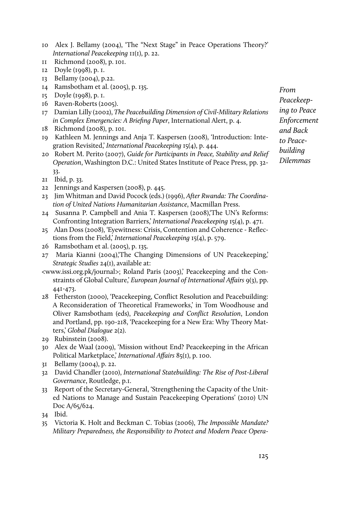- 10 Alex J. Bellamy (2004), 'The "Next Stage" in Peace Operations Theory?' *International Peacekeeping* 11(1), p. 22.
- 11 Richmond (2008), p. 101.
- 12 Doyle (1998), p. 1.
- 13 Bellamy (2004), p.22.
- 14 Ramsbotham et al. (2005), p. 135.
- 15 Doyle (1998), p. 1.
- 16 Raven-Roberts (2005).
- 17 Damian Lilly (2002), *The Peacebuilding Dimension of Civil-Military Relations in Complex Emergencies: A Briefing Paper*, International Alert, p. 4.
- 18 Richmond (2008), p. 101.
- 19 Kathleen M. Jennings and Anja T. Kaspersen (2008), 'Introduction: Integration Revisited,' *International Peacekeeping* 15(4), p. 444.
- 20 Robert M. Perito (2007), *Guide for Participants in Peace, Stability and Relief Operation*, Washington D.C.: United States Institute of Peace Press, pp. 32- 33.
- 21 Ibid, p. 33.
- 22 Jennings and Kaspersen (2008), p. 445.
- 23 Jim Whitman and David Pocock (eds.) (1996), *After Rwanda: The Coordination of United Nations Humanitarian Assistance*, Macmillan Press.
- 24 Susanna P. Campbell and Ania T. Kaspersen (2008),'The UN's Reforms: Confronting Integration Barriers,' *International Peacekeeping* 15(4), p. 471.
- 25 Alan Doss (2008), 'Eyewitness: Crisis, Contention and Coherence Reflections from the Field,' *International Peacekeeping* 15(4), p. 579.
- 26 Ramsbotham et al. (2005), p. 135.
- 27 Maria Kianni (2004),'The Changing Dimensions of UN Peacekeeping,' *Strategic Studies* 24(1), available at:
- <www.issi.org.pk/journal>; Roland Paris (2003),' Peacekeeping and the Constraints of Global Culture,' *European Journal of International Affairs* 9(3), pp. 441-473.
- 28 Fetherston (2000), 'Peacekeeping, Conflict Resolution and Peacebuilding: A Reconsideration of Theoretical Frameworks,' in Tom Woodhouse and Oliver Ramsbotham (eds), *Peacekeeping and Conflict Resolution*, London and Portland, pp. 190-218, 'Peacekeeping for a New Era: Why Theory Matters,' *Global Dialogue* 2(2).
- 29 Rubinstein (2008).
- 30 Alex de Waal (2009), 'Mission without End? Peacekeeping in the African Political Marketplace,' *International Affairs* 85(1), p. 100.
- 31 Bellamy (2004), p. 22.
- 32 David Chandler (2010), *International Statebuilding: The Rise of Post-Liberal Governance*, Routledge, p.1.
- 33 Report of the Secretary-General, 'Strengthening the Capacity of the United Nations to Manage and Sustain Peacekeeping Operations' (2010) UN Doc A/65/624.

35 Victoria K. Holt and Beckman C. Tobias (2006), *The Impossible Mandate? Military Preparedness, the Responsibility to Protect and Modern Peace Opera-*

*From Peacekeeping to Peace Enforcement and Back to Peacebuilding Dilemmas*

<sup>34</sup> Ibid.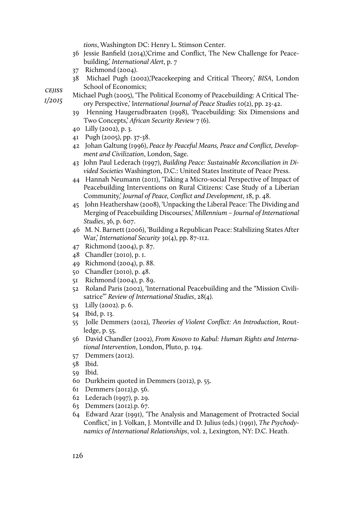*tions*, Washington DC: Henry L. Stimson Center.

- 36 Jessie Banfield (2014),'Crime and Conflict, The New Challenge for Peacebuilding,' *International Alert*, p. 7
- 37 Richmond (2004).
- 38 Michael Pugh (2002),'Peacekeeping and Critical Theory,' *BISA*, London School of Economics;

*cejiss* Michael Pugh (2005), 'The Political Economy of Peacebuilding: A Critical The-

- ory Perspective,' I*nternational Journal of Peace Studies* 10(2), pp. 23-42.
- 39 Henning Haugerudbraaten (1998), 'Peacebuilding: Six Dimensions and Two Concepts,' *African Security Review* 7 (6).
- 40 Lilly (2002), p. 3.
- 41 Pugh (2005), pp. 37-38.
- 42 Johan Galtung (1996), *Peace by Peaceful Means, Peace and Conflict, Development and Civilization*, London, Sage.
- 43 John Paul Lederach (1997), *Building Peace: Sustainable Reconciliation in Divided Societies* Washington, D.C.: United States Institute of Peace Press.
- 44 Hannah Neumann (2011), 'Taking a Micro-social Perspective of Impact of Peacebuilding Interventions on Rural Citizens: Case Study of a Liberian Community,' *Journal of Peace, Conflict and Development*, 18, p. 48.
- 45 John Heathershaw (2008), 'Unpacking the Liberal Peace: The Dividing and Merging of Peacebuilding Discourses,' *Millennium – Journal of International Studies*, 36, p. 607.
- 46 M. N. Barnett (2006), 'Building a Republican Peace: Stabilizing States After War,' *International Security* 30(4), pp. 87-112.
- 47 Richmond (2004), p. 87.
- 48 Chandler (2010), p. 1.
- 49 Richmond (2004), p. 88.
- 50 Chandler (2010), p. 48.
- 51 Richmond (2004), p. 89.
- 52 Roland Paris (2002), 'International Peacebuilding and the "Mission Civilisatrice"' *Review of International Studies*, 28(4).
- 53 Lilly (2002). p. 6.
- 54 Ibid, p. 13.
- 55 Jolle Demmers (2012), *Theories of Violent Conflict: An Introduction*, Routledge, p. 55.
- 56 David Chandler (2002), *From Kosovo to Kabul: Human Rights and International Intervention*, London, Pluto, p. 194.
- 57 Demmers (2012).
- 58 Ibid.
- 59 Ibid.
- 60 Durkheim quoted in Demmers (2012), p. 55.
- 61 Demmers (2012),p. 56.
- 62 Lederach (1997), p. 29.
- 63 Demmers (2012).p. 67.
- 64 Edward Azar (1991), 'The Analysis and Management of Protracted Social Conflict,' in J. Volkan, J. Montville and D. Julius (eds.) (1991), *The Psychodynamics of International Relationships*, vol. 2, Lexington, NY: D.C. Heath.